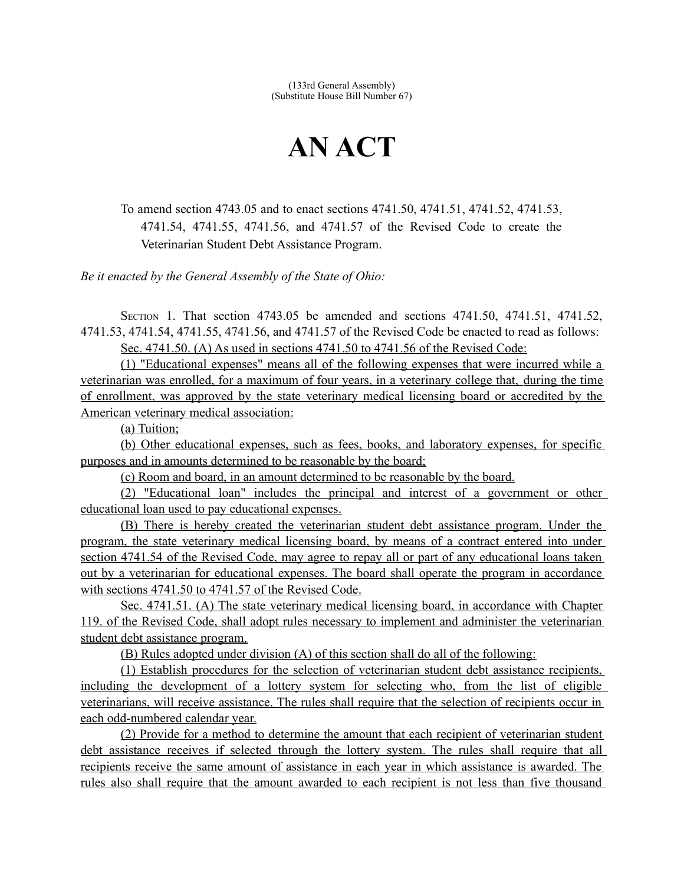(133rd General Assembly) (Substitute House Bill Number 67)

## **AN ACT**

To amend section 4743.05 and to enact sections 4741.50, 4741.51, 4741.52, 4741.53, 4741.54, 4741.55, 4741.56, and 4741.57 of the Revised Code to create the Veterinarian Student Debt Assistance Program.

*Be it enacted by the General Assembly of the State of Ohio:*

SECTION 1. That section 4743.05 be amended and sections 4741.50, 4741.51, 4741.52, 4741.53, 4741.54, 4741.55, 4741.56, and 4741.57 of the Revised Code be enacted to read as follows:

Sec. 4741.50. ( A) As used in sections 4741.50 to 4741.56 of the Revised Code:

(1) "Educational expenses" means all of the following expenses that were incurred while a veterinarian was enrolled, for a maximum of four years, in a veterinary college that, during the time of enrollment, was approved by the state veterinary medical licensing board or accredited by the American veterinary medical association:

(a) Tuition;

(b) Other educational expenses, such as fees, books, and laboratory expenses, for specific purposes and in amounts determined to be reasonable by the board;

(c) Room and board, in an amount determined to be reasonable by the board.

(2) "Educational loan" includes the principal and interest of a government or other educational loan used to pay educational expenses.

(B) There is hereby created the veterinarian student debt assistance program. Under the program, the state veterinary medical licensing board, by means of a contract entered into under section 4741.54 of the Revised Code, may agree to repay all or part of any educational loans taken out by a veterinarian for educational expenses. The board shall operate the program in accordance with sections 4741.50 to 4741.57 of the Revised Code.

 Sec. 4741.51. (A) The state veterinary medical licensing board, in accordance with Chapter 119. of the Revised Code, shall adopt rules necessary to implement and administer the veterinarian student debt assistance program.

(B) Rules adopted under division (A) of this section shall do all of the following:

(1) Establish procedures for the selection of veterinarian student debt assistance recipients, including the development of a lottery system for selecting who, from the list of eligible veterinarians, will receive assistance. The rules shall require that the selection of recipients occur in each odd-numbered calendar year.

(2) Provide for a method to determine the amount that each recipient of veterinarian student debt assistance receives if selected through the lottery system. The rules shall require that all recipients receive the same amount of assistance in each year in which assistance is awarded. The rules also shall require that the amount awarded to each recipient is not less than five thousand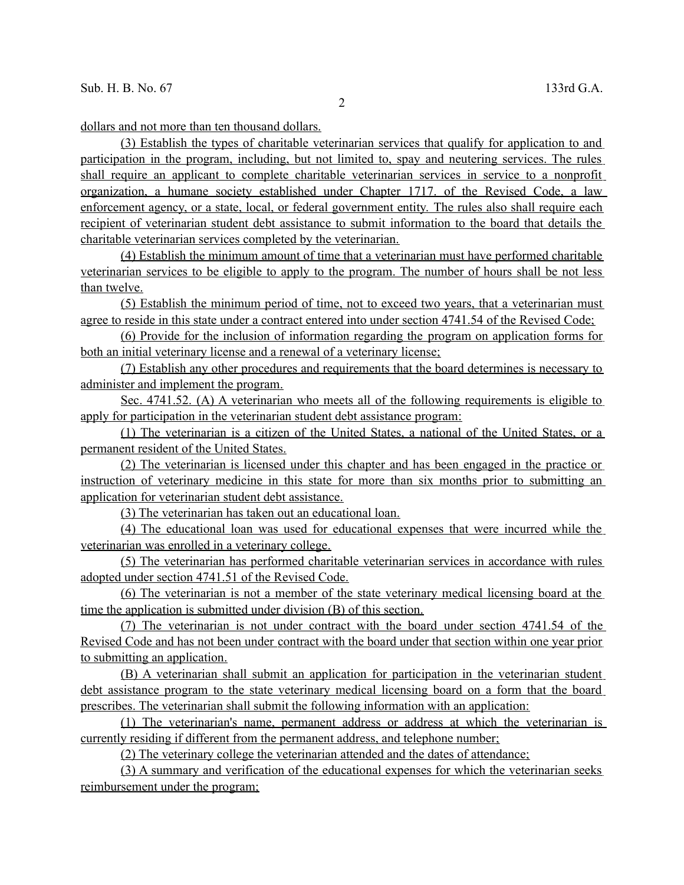dollars and not more than ten thousand dollars.

(3) Establish the types of charitable veterinarian services that qualify for application to and participation in the program, including, but not limited to, spay and neutering services. The rules shall require an applicant to complete charitable veterinarian services in service to a nonprofit organization, a humane society established under Chapter 1717. of the Revised Code, a law enforcement agency, or a state, local, or federal government entity. The rules also shall require each recipient of veterinarian student debt assistance to submit information to the board that details the charitable veterinarian services completed by the veterinarian.

(4) Establish the minimum amount of time that a veterinarian must have performed charitable veterinarian services to be eligible to apply to the program. The number of hours shall be not less than twelve.

(5) Establish the minimum period of time, not to exceed two years, that a veterinarian must agree to reside in this state under a contract entered into under section 4741.54 of the Revised Code;

 (6) Provide for the inclusion of information regarding the program on application forms for both an initial veterinary license and a renewal of a veterinary license;

(7) Establish any other procedures and requirements that the board determines is necessary to administer and implement the program.

 Sec. 4741.52. (A) A veterinarian who meets all of the following requirements is eligible to apply for participation in the veterinarian student debt assistance program:

(1) The veterinarian is a citizen of the United States, a national of the United States, or a permanent resident of the United States.

(2) The veterinarian is licensed under this chapter and has been engaged in the practice or instruction of veterinary medicine in this state for more than six months prior to submitting an application for veterinarian student debt assistance.

(3) The veterinarian has taken out an educational loan.

(4) The educational loan was used for educational expenses that were incurred while the veterinarian was enrolled in a veterinary college.

(5) The veterinarian has performed charitable veterinarian services in accordance with rules adopted under section 4741.51 of the Revised Code.

(6) The veterinarian is not a member of the state veterinary medical licensing board at the time the application is submitted under division (B) of this section.

 (7) The veterinarian is not under contract with the board under section 4741.54 of the Revised Code and has not been under contract with the board under that section within one year prior to submitting an application.

(B) A veterinarian shall submit an application for participation in the veterinarian student debt assistance program to the state veterinary medical licensing board on a form that the board prescribes. The veterinarian shall submit the following information with an application:

(1) The veterinarian's name, permanent address or address at which the veterinarian is currently residing if different from the permanent address, and telephone number;

(2) The veterinary college the veterinarian attended and the dates of attendance;

(3) A summary and verification of the educational expenses for which the veterinarian seeks reimbursement under the program;

2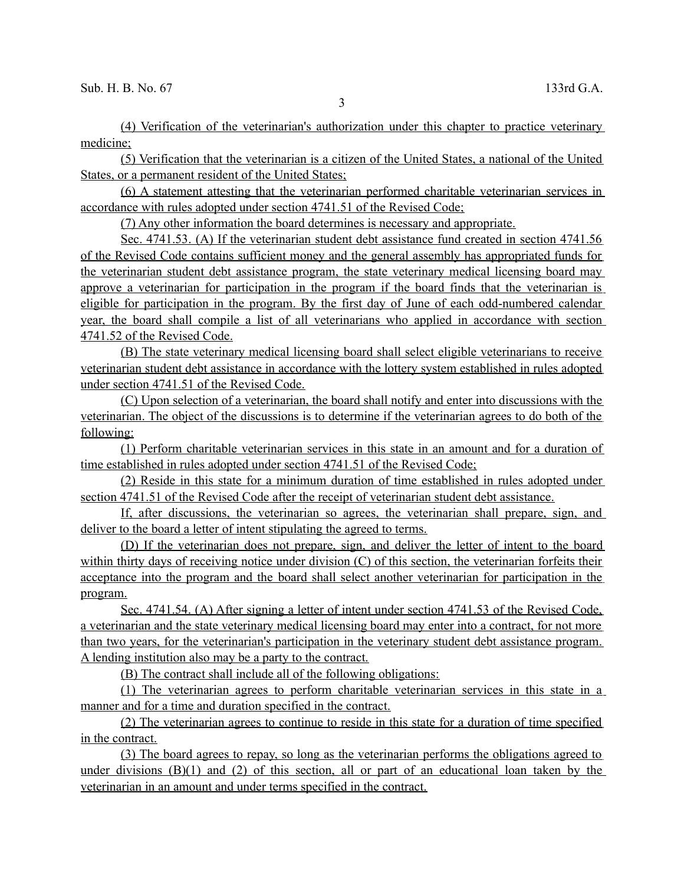3

(4) Verification of the veterinarian's authorization under this chapter to practice veterinary medicine;

(5) Verification that the veterinarian is a citizen of the United States, a national of the United States, or a permanent resident of the United States;

(6) A statement attesting that the veterinarian performed charitable veterinarian services in accordance with rules adopted under section 4741.51 of the Revised Code;

(7) Any other information the board determines is necessary and appropriate.

Sec. 4741.53. (A) If the veterinarian student debt assistance fund created in section 4741.56 of the Revised Code contains sufficient money and the general assembly has appropriated funds for the veterinarian student debt assistance program, the state veterinary medical licensing board may approve a veterinarian for participation in the program if the board finds that the veterinarian is eligible for participation in the program. By the first day of June of each odd-numbered calendar year, the board shall compile a list of all veterinarians who applied in accordance with section 4741.52 of the Revised Code.

(B) The state veterinary medical licensing board shall select eligible veterinarians to receive veterinarian student debt assistance in accordance with the lottery system established in rules adopted under section 4741.51 of the Revised Code.

(C) Upon selection of a veterinarian, the board shall notify and enter into discussions with the veterinarian. The object of the discussions is to determine if the veterinarian agrees to do both of the following:

(1) Perform charitable veterinarian services in this state in an amount and for a duration of time established in rules adopted under section 4741.51 of the Revised Code;

(2) Reside in this state for a minimum duration of time established in rules adopted under section 4741.51 of the Revised Code after the receipt of veterinarian student debt assistance.

If, after discussions, the veterinarian so agrees, the veterinarian shall prepare, sign, and deliver to the board a letter of intent stipulating the agreed to terms.

 (D) If the veterinarian does not prepare, sign, and deliver the letter of intent to the board within thirty days of receiving notice under division (C) of this section, the veterinarian forfeits their acceptance into the program and the board shall select another veterinarian for participation in the program.

 Sec. 4741.54. (A) After signing a letter of intent under section 4741.53 of the Revised Code, a veterinarian and the state veterinary medical licensing board may enter into a contract, for not more than two years, for the veterinarian's participation in the veterinary student debt assistance program. A lending institution also may be a party to the contract.

(B) The contract shall include all of the following obligations:

(1) The veterinarian agrees to perform charitable veterinarian services in this state in a manner and for a time and duration specified in the contract.

(2) The veterinarian agrees to continue to reside in this state for a duration of time specified in the contract.

(3) The board agrees to repay, so long as the veterinarian performs the obligations agreed to under divisions (B)(1) and (2) of this section, all or part of an educational loan taken by the veterinarian in an amount and under terms specified in the contract.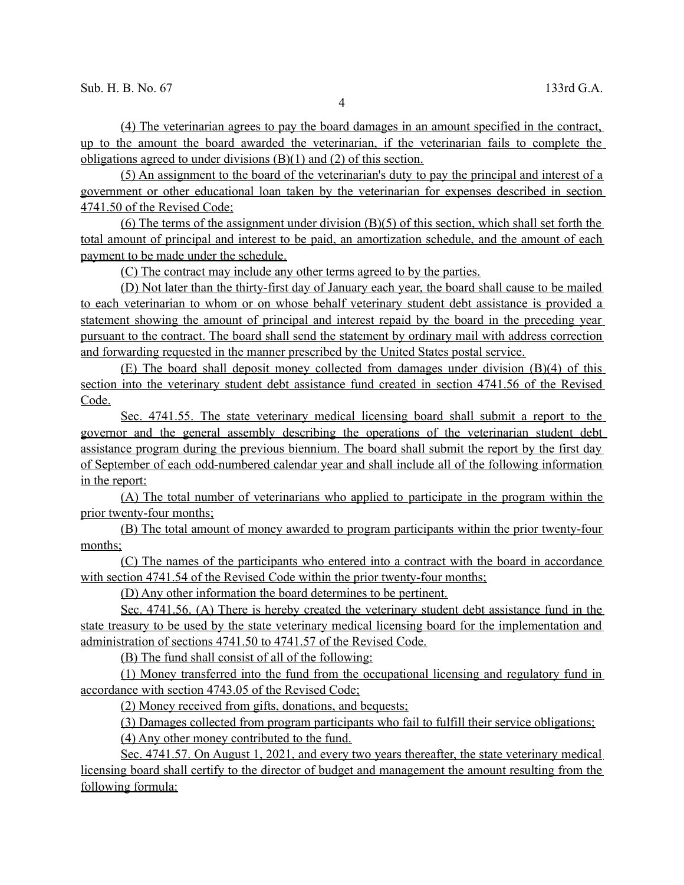(4) The veterinarian agrees to pay the board damages in an amount specified in the contract, up to the amount the board awarded the veterinarian, if the veterinarian fails to complete the obligations agreed to under divisions (B)(1) and (2) of this section.

 (5) An assignment to the board of the veterinarian's duty to pay the principal and interest of a government or other educational loan taken by the veterinarian for expenses described in section 4741.50 of the Revised Code;

(6) The terms of the assignment under division (B)(5) of this section, which shall set forth the total amount of principal and interest to be paid, an amortization schedule, and the amount of each payment to be made under the schedule.

(C) The contract may include any other terms agreed to by the parties.

(D) Not later than the thirty-first day of January each year, the board shall cause to be mailed to each veterinarian to whom or on whose behalf veterinary student debt assistance is provided a statement showing the amount of principal and interest repaid by the board in the preceding year pursuant to the contract. The board shall send the statement by ordinary mail with address correction and forwarding requested in the manner prescribed by the United States postal service.

(E) The board shall deposit money collected from damages under division (B)(4) of this section into the veterinary student debt assistance fund created in section 4741.56 of the Revised Code.

 Sec. 4741.55. The state veterinary medical licensing board shall submit a report to the governor and the general assembly describing the operations of the veterinarian student debt assistance program during the previous biennium. The board shall submit the report by the first day of September of each odd-numbered calendar year and shall include all of the following information in the report:

 (A) The total number of veterinarians who applied to participate in the program within the prior twenty-four months;

(B) The total amount of money awarded to program participants within the prior twenty-four months;

(C) The names of the participants who entered into a contract with the board in accordance with section 4741.54 of the Revised Code within the prior twenty-four months;

(D) Any other information the board determines to be pertinent.

Sec. 4741.56. (A) There is hereby created the veterinary student debt assistance fund in the state treasury to be used by the state veterinary medical licensing board for the implementation and administration of sections 4741.50 to 4741.57 of the Revised Code.

(B) The fund shall consist of all of the following:

(1) Money transferred into the fund from the occupational licensing and regulatory fund in accordance with section 4743.05 of the Revised Code;

(2) Money received from gifts, donations, and bequests;

(3) Damages collected from program participants who fail to fulfill their service obligations;

(4) Any other money contributed to the fund.

 Sec. 4741.57. On August 1, 2021, and every two years thereafter, the state veterinary medical licensing board shall certify to the director of budget and management the amount resulting from the following formula: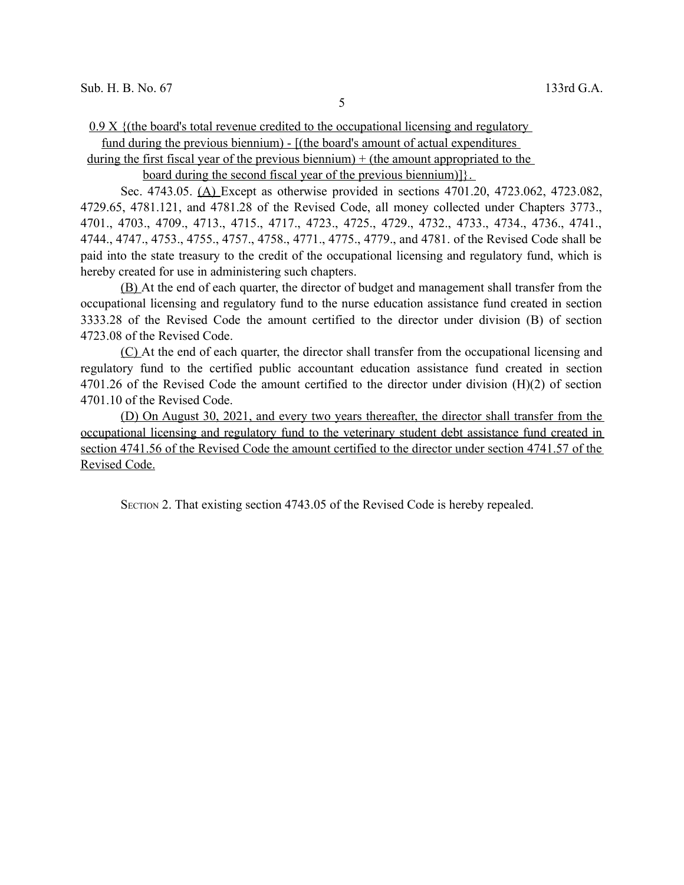$0.9 \text{ X }$  {(the board's total revenue credited to the occupational licensing and regulatory fund during the previous biennium) - [(the board's amount of actual expenditures

during the first fiscal year of the previous biennium)  $+$  (the amount appropriated to the

board during the second fiscal year of the previous biennium)]}.

Sec. 4743.05. (A) Except as otherwise provided in sections 4701.20, 4723.062, 4723.082, 4729.65, 4781.121, and 4781.28 of the Revised Code, all money collected under Chapters 3773., 4701., 4703., 4709., 4713., 4715., 4717., 4723., 4725., 4729., 4732., 4733., 4734., 4736., 4741., 4744., 4747., 4753., 4755., 4757., 4758., 4771., 4775., 4779., and 4781. of the Revised Code shall be paid into the state treasury to the credit of the occupational licensing and regulatory fund, which is hereby created for use in administering such chapters.

(B) At the end of each quarter, the director of budget and management shall transfer from the occupational licensing and regulatory fund to the nurse education assistance fund created in section 3333.28 of the Revised Code the amount certified to the director under division (B) of section 4723.08 of the Revised Code.

(C) At the end of each quarter, the director shall transfer from the occupational licensing and regulatory fund to the certified public accountant education assistance fund created in section 4701.26 of the Revised Code the amount certified to the director under division (H)(2) of section 4701.10 of the Revised Code.

(D) On August 30, 2021, and every two years thereafter, the director shall transfer from the occupational licensing and regulatory fund to the veterinary student debt assistance fund created in section 4741.56 of the Revised Code the amount certified to the director under section 4741.57 of the Revised Code.

SECTION 2. That existing section 4743.05 of the Revised Code is hereby repealed.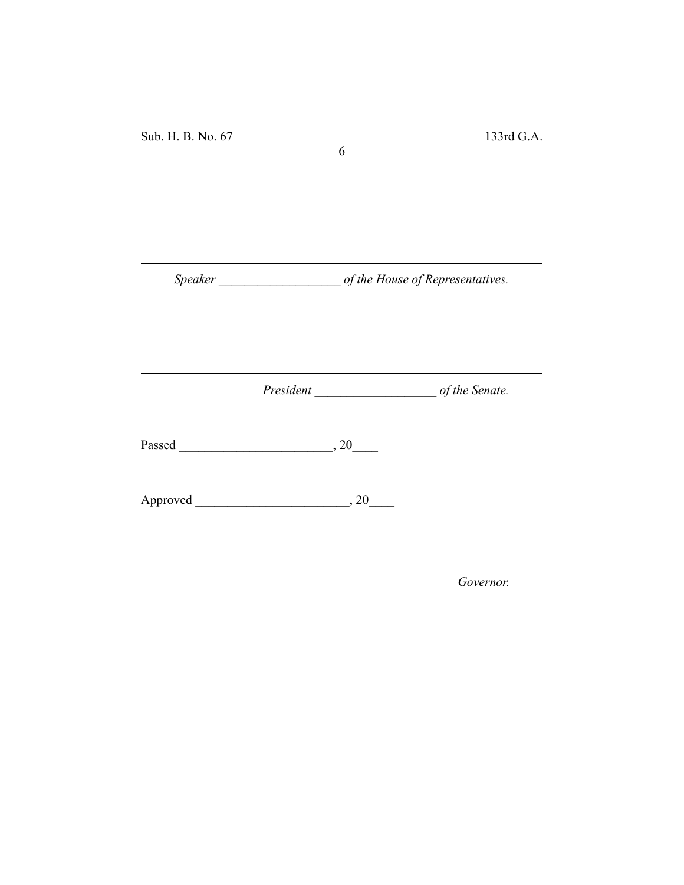Sub. H. B. No. 67 133rd G.A.

*Speaker \_\_\_\_\_\_\_\_\_\_\_\_\_\_\_\_\_\_\_ of the House of Representatives.*

6

*President \_\_\_\_\_\_\_\_\_\_\_\_\_\_\_\_\_\_\_ of the Senate.*

Passed \_\_\_\_\_\_\_\_\_\_\_\_\_\_\_\_\_\_\_\_\_\_\_\_, 20\_\_\_\_

Approved \_\_\_\_\_\_\_\_\_\_\_\_\_\_\_\_\_\_\_\_\_\_\_\_, 20\_\_\_\_

*Governor.*